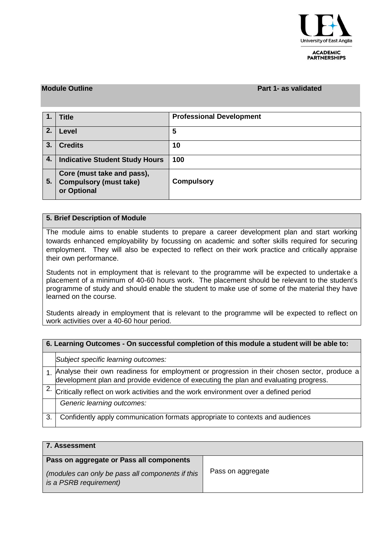

#### **ACADEMIC PARTNERSHIPS**

### **Module Outline Part 1- as validated**

|    | <b>Title</b>                                                               | <b>Professional Development</b> |
|----|----------------------------------------------------------------------------|---------------------------------|
| 2. | Level                                                                      | 5                               |
| 3. | <b>Credits</b>                                                             | 10                              |
| 4. | <b>Indicative Student Study Hours</b>                                      | 100                             |
| 5. | Core (must take and pass),<br><b>Compulsory (must take)</b><br>or Optional | <b>Compulsory</b>               |

## **5. Brief Description of Module**

The module aims to enable students to prepare a career development plan and start working towards enhanced employability by focussing on academic and softer skills required for securing employment. They will also be expected to reflect on their work practice and critically appraise their own performance.

Students not in employment that is relevant to the programme will be expected to undertake a placement of a minimum of 40-60 hours work. The placement should be relevant to the student's programme of study and should enable the student to make use of some of the material they have learned on the course.

Students already in employment that is relevant to the programme will be expected to reflect on work activities over a 40-60 hour period.

| 6. Learning Outcomes - On successful completion of this module a student will be able to: |                                                                                                                                                                                     |  |  |  |  |
|-------------------------------------------------------------------------------------------|-------------------------------------------------------------------------------------------------------------------------------------------------------------------------------------|--|--|--|--|
|                                                                                           | Subject specific learning outcomes:                                                                                                                                                 |  |  |  |  |
|                                                                                           | 1. Analyse their own readiness for employment or progression in their chosen sector, produce a development plan and provide evidence of executing the plan and evaluating progress. |  |  |  |  |
|                                                                                           | Critically reflect on work activities and the work environment over a defined period                                                                                                |  |  |  |  |
|                                                                                           | Generic learning outcomes:                                                                                                                                                          |  |  |  |  |
| 3.                                                                                        | Confidently apply communication formats appropriate to contexts and audiences                                                                                                       |  |  |  |  |

| 7. Assessment                                                              |                   |  |  |  |  |  |  |
|----------------------------------------------------------------------------|-------------------|--|--|--|--|--|--|
| Pass on aggregate or Pass all components                                   |                   |  |  |  |  |  |  |
| (modules can only be pass all components if this<br>is a PSRB requirement) | Pass on aggregate |  |  |  |  |  |  |